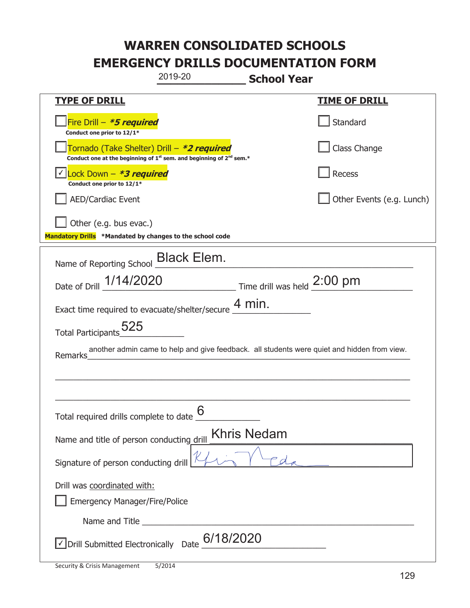|                                                                                    | 2019-20                                                                                                                                   | <b>School Year</b> |                                                                                             |
|------------------------------------------------------------------------------------|-------------------------------------------------------------------------------------------------------------------------------------------|--------------------|---------------------------------------------------------------------------------------------|
| <u>TYPE OF DRILL</u>                                                               |                                                                                                                                           |                    | <u>TIME OF DRILL</u>                                                                        |
| Fire Drill - *5 required<br>Conduct one prior to 12/1*                             |                                                                                                                                           |                    | Standard                                                                                    |
|                                                                                    | Tornado (Take Shelter) Drill – *2 required<br>Conduct one at the beginning of 1 <sup>st</sup> sem. and beginning of 2 <sup>nd</sup> sem.* |                    | Class Change                                                                                |
| Lock Down - *3 required<br>Conduct one prior to 12/1*                              |                                                                                                                                           |                    | Recess                                                                                      |
| <b>AED/Cardiac Event</b>                                                           |                                                                                                                                           |                    | Other Events (e.g. Lunch)                                                                   |
| Other (e.g. bus evac.)<br>Mandatory Drills *Mandated by changes to the school code |                                                                                                                                           |                    |                                                                                             |
| Name of Reporting School Black Elem.                                               |                                                                                                                                           |                    |                                                                                             |
| Date of Drill $\frac{1/14/2020}{2}$ Time drill was held 2:00 pm                    |                                                                                                                                           |                    |                                                                                             |
| Exact time required to evacuate/shelter/secure $\frac{4 \text{ min}}{4}$ .         |                                                                                                                                           |                    |                                                                                             |
| Total Participants 525                                                             |                                                                                                                                           |                    |                                                                                             |
| Remarks                                                                            |                                                                                                                                           |                    | another admin came to help and give feedback. all students were quiet and hidden from view. |
|                                                                                    |                                                                                                                                           |                    |                                                                                             |
|                                                                                    |                                                                                                                                           |                    |                                                                                             |
| Total required drills complete to date $6$                                         |                                                                                                                                           |                    |                                                                                             |
| Name and title of person conducting drill                                          |                                                                                                                                           | <b>Khris Nedam</b> |                                                                                             |
| Signature of person conducting drill                                               |                                                                                                                                           |                    |                                                                                             |
| Drill was coordinated with:<br><b>Emergency Manager/Fire/Police</b>                |                                                                                                                                           |                    |                                                                                             |
|                                                                                    |                                                                                                                                           |                    |                                                                                             |
| √ Drill Submitted Electronically Date                                              | 6/18/2020                                                                                                                                 |                    |                                                                                             |

I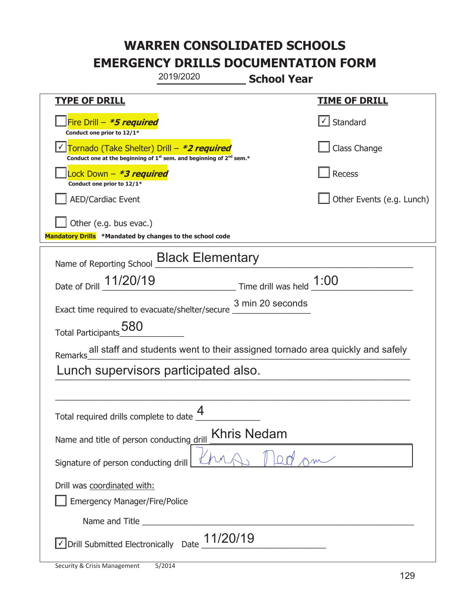| 2019/2020                                                                                                                                 | <b>School Year</b>                                                            |  |
|-------------------------------------------------------------------------------------------------------------------------------------------|-------------------------------------------------------------------------------|--|
| <u>TYPE OF DRILL</u>                                                                                                                      | <u>TIME OF DRILL</u>                                                          |  |
| Fire Drill - *5 required<br>Conduct one prior to 12/1*                                                                                    | Standard                                                                      |  |
| Tornado (Take Shelter) Drill – *2 required<br>Conduct one at the beginning of 1 <sup>st</sup> sem. and beginning of 2 <sup>nd</sup> sem.* | Class Change                                                                  |  |
| Lock Down - <b>*3 required</b><br>Conduct one prior to 12/1*                                                                              | <b>Recess</b>                                                                 |  |
| <b>AED/Cardiac Event</b>                                                                                                                  | Other Events (e.g. Lunch)                                                     |  |
| Other (e.g. bus evac.)<br>Mandatory Drills *Mandated by changes to the school code                                                        |                                                                               |  |
| Name of Reporting School <b>Black Elementary</b>                                                                                          |                                                                               |  |
| Date of Drill 11/20/19                                                                                                                    | Time drill was held 1:00                                                      |  |
| Exact time required to evacuate/shelter/secure 3 min 20 seconds                                                                           |                                                                               |  |
| 580<br><b>Total Participants</b>                                                                                                          |                                                                               |  |
| <b>Remarks</b>                                                                                                                            | all staff and students went to their assigned tornado area quickly and safely |  |
| Lunch supervisors participated also.                                                                                                      |                                                                               |  |
|                                                                                                                                           |                                                                               |  |
| Δ<br>Total required drills complete to date _                                                                                             |                                                                               |  |
| Name and title of person conducting drill                                                                                                 | <b>Khris Nedam</b>                                                            |  |
| Signature of person conducting drill                                                                                                      |                                                                               |  |
| Drill was coordinated with:                                                                                                               |                                                                               |  |
| Emergency Manager/Fire/Police                                                                                                             |                                                                               |  |
|                                                                                                                                           |                                                                               |  |
| 11/20/19<br>√ Drill Submitted Electronically Date                                                                                         |                                                                               |  |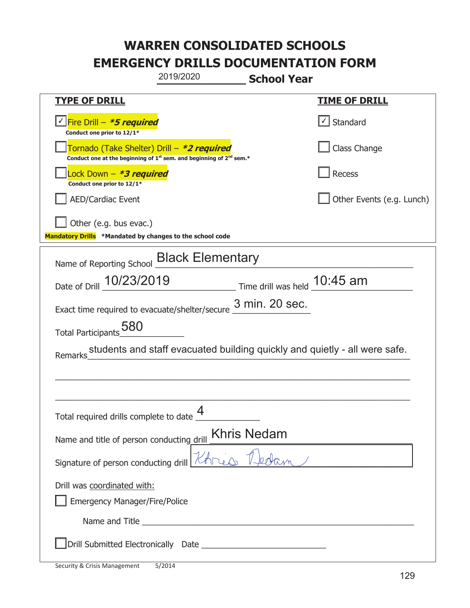|                                                                                    | 2019/2020                                                                                                             | <b>School Year</b> |                                                                            |
|------------------------------------------------------------------------------------|-----------------------------------------------------------------------------------------------------------------------|--------------------|----------------------------------------------------------------------------|
| <u>TYPE OF DRILL</u>                                                               |                                                                                                                       |                    | <u>TIME OF DRILL</u>                                                       |
| √Fire Drill – <b>*5 required</b><br>Conduct one prior to 12/1*                     |                                                                                                                       |                    | √ Standard                                                                 |
|                                                                                    | Tornado (Take Shelter) Drill – *2 required<br>Conduct one at the beginning of $1st$ sem. and beginning of $2nd$ sem.* |                    | Class Change                                                               |
| Lock Down - <b>*3 required</b><br>Conduct one prior to 12/1*                       |                                                                                                                       |                    | Recess                                                                     |
| <b>AED/Cardiac Event</b>                                                           |                                                                                                                       |                    | Other Events (e.g. Lunch)                                                  |
| Other (e.g. bus evac.)<br>Mandatory Drills *Mandated by changes to the school code |                                                                                                                       |                    |                                                                            |
| Name of Reporting School <b>Black Elementary</b>                                   |                                                                                                                       |                    |                                                                            |
| Date of Drill 10/23/2019 Time drill was held 10:45 am                              |                                                                                                                       |                    |                                                                            |
| Exact time required to evacuate/shelter/secure $\frac{3 \text{ min. 20 sec.}}{}$   |                                                                                                                       |                    |                                                                            |
| Total Participants_580                                                             |                                                                                                                       |                    |                                                                            |
| Remarks                                                                            |                                                                                                                       |                    | students and staff evacuated building quickly and quietly - all were safe. |
|                                                                                    |                                                                                                                       |                    |                                                                            |
|                                                                                    |                                                                                                                       |                    |                                                                            |
| Total required drills complete to date $\frac{4}{1}$                               |                                                                                                                       |                    |                                                                            |
| <b>Khris Nedam</b><br>Name and title of person conducting drill                    |                                                                                                                       |                    |                                                                            |
| Signature of person conducting drill $\mathbb{Z}$                                  |                                                                                                                       |                    |                                                                            |
| Drill was coordinated with:<br><b>Emergency Manager/Fire/Police</b>                |                                                                                                                       |                    |                                                                            |
|                                                                                    |                                                                                                                       |                    |                                                                            |
|                                                                                    |                                                                                                                       |                    |                                                                            |

t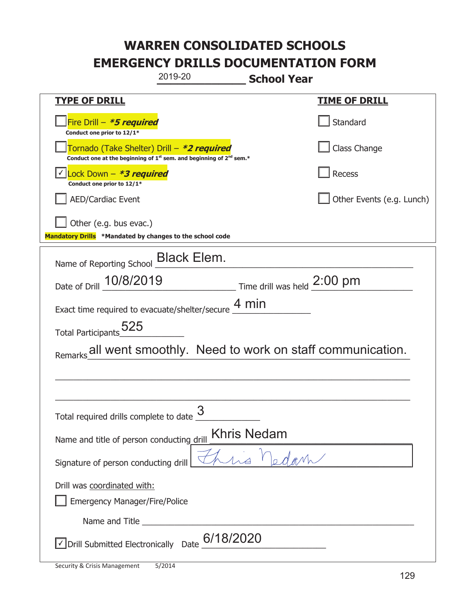|                                                                                    | 2019-20                                                                                     | <b>School Year</b>                           |                           |
|------------------------------------------------------------------------------------|---------------------------------------------------------------------------------------------|----------------------------------------------|---------------------------|
| <b>TYPE OF DRILL</b>                                                               |                                                                                             |                                              | <u>TIME OF DRILL</u>      |
| Fire Drill - *5 required<br>Conduct one prior to 12/1*                             |                                                                                             |                                              | Standard                  |
| Tornado (Take Shelter) Drill – *2 required                                         | Conduct one at the beginning of 1 <sup>st</sup> sem. and beginning of 2 <sup>nd</sup> sem.* |                                              | Class Change              |
| Lock Down - *3 required<br>Conduct one prior to 12/1*                              |                                                                                             |                                              | Recess                    |
| <b>AED/Cardiac Event</b>                                                           |                                                                                             |                                              | Other Events (e.g. Lunch) |
| Other (e.g. bus evac.)<br>Mandatory Drills *Mandated by changes to the school code |                                                                                             |                                              |                           |
| Name of Reporting School _ Black Elem.                                             |                                                                                             |                                              |                           |
| Date of Drill 10/8/2019                                                            |                                                                                             | $\_$ Time drill was held $\frac{2:00}{ }$ pm |                           |
| Exact time required to evacuate/shelter/secure $\underline{4}\,\text{min}$         |                                                                                             |                                              |                           |
| Total Participants 525                                                             |                                                                                             |                                              |                           |
| Remarks all went smoothly. Need to work on staff communication.                    |                                                                                             |                                              |                           |
|                                                                                    |                                                                                             |                                              |                           |
| Total required drills complete to date $\frac{9}{2}$                               | 3                                                                                           |                                              |                           |
| Name and title of person conducting drill                                          |                                                                                             | <b>Khris Nedam</b>                           |                           |
| Signature of person conducting drill                                               |                                                                                             |                                              |                           |
| Drill was coordinated with:<br><b>Emergency Manager/Fire/Police</b>                |                                                                                             |                                              |                           |
|                                                                                    |                                                                                             |                                              |                           |
| √ Drill Submitted Electronically Date                                              | 6/18/2020                                                                                   |                                              |                           |

I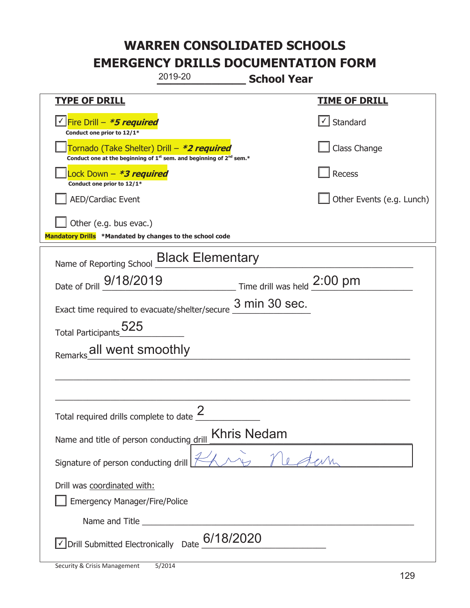| 2019-20                                                                                                                                   | <b>School Year</b>        |
|-------------------------------------------------------------------------------------------------------------------------------------------|---------------------------|
| <b>TYPE OF DRILL</b>                                                                                                                      | <u>TIME OF DRILL</u>      |
| <u>√ Fire Drill – <i>*5 required</i></u><br>Conduct one prior to 12/1*                                                                    | √ Standard                |
| Tornado (Take Shelter) Drill – *2 required<br>Conduct one at the beginning of 1 <sup>st</sup> sem. and beginning of 2 <sup>nd</sup> sem.* | Class Change              |
| ock Down – <b>*3 required</b><br>Conduct one prior to 12/1*                                                                               | Recess                    |
| <b>AED/Cardiac Event</b>                                                                                                                  | Other Events (e.g. Lunch) |
| Other (e.g. bus evac.)<br>Mandatory Drills *Mandated by changes to the school code                                                        |                           |
| Name of Reporting School <b>Black Elementary</b>                                                                                          |                           |
| Date of Drill 9/18/2019<br>$\frac{1}{2:00 \text{ pm}}$ Time drill was held $\frac{2:00 \text{ pm}}{}$                                     |                           |
| 3 min 30 sec.<br>Exact time required to evacuate/shelter/secure                                                                           |                           |
| Total Participants_525                                                                                                                    |                           |
| Remarks all went smoothly                                                                                                                 |                           |
|                                                                                                                                           |                           |
|                                                                                                                                           |                           |
| Total required drills complete to date $\frac{2}{3}$                                                                                      |                           |
| Khris Nedam<br>Name and title of person conducting drill                                                                                  |                           |
| Signature of person conducting drill                                                                                                      |                           |
| Drill was coordinated with:                                                                                                               |                           |
| <b>Emergency Manager/Fire/Police</b>                                                                                                      |                           |
|                                                                                                                                           |                           |
| $\sqrt{}$ Drill Submitted Electronically Date $\underline{6/18/2020}$                                                                     |                           |

T